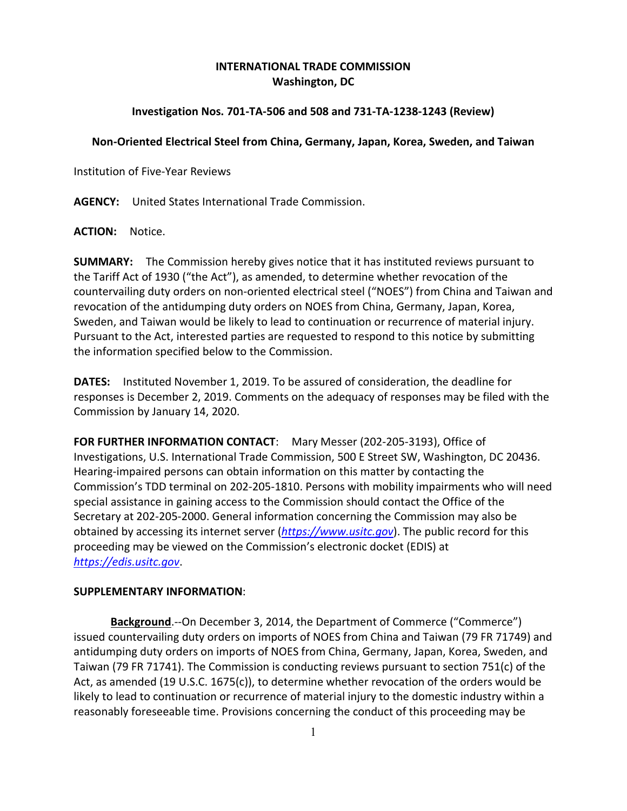## **INTERNATIONAL TRADE COMMISSION Washington, DC**

## **Investigation Nos. 701-TA-506 and 508 and 731-TA-1238-1243 (Review)**

## **Non-Oriented Electrical Steel from China, Germany, Japan, Korea, Sweden, and Taiwan**

Institution of Five-Year Reviews

**AGENCY:** United States International Trade Commission.

**ACTION:** Notice.

**SUMMARY:** The Commission hereby gives notice that it has instituted reviews pursuant to the Tariff Act of 1930 ("the Act"), as amended, to determine whether revocation of the countervailing duty orders on non-oriented electrical steel ("NOES") from China and Taiwan and revocation of the antidumping duty orders on NOES from China, Germany, Japan, Korea, Sweden, and Taiwan would be likely to lead to continuation or recurrence of material injury. Pursuant to the Act, interested parties are requested to respond to this notice by submitting the information specified below to the Commission.

**DATES:** Instituted November 1, 2019. To be assured of consideration, the deadline for responses is December 2, 2019. Comments on the adequacy of responses may be filed with the Commission by January 14, 2020.

**FOR FURTHER INFORMATION CONTACT**: Mary Messer (202-205-3193), Office of Investigations, U.S. International Trade Commission, 500 E Street SW, Washington, DC 20436. Hearing-impaired persons can obtain information on this matter by contacting the Commission's TDD terminal on 202-205-1810. Persons with mobility impairments who will need special assistance in gaining access to the Commission should contact the Office of the Secretary at 202-205-2000. General information concerning the Commission may also be obtained by accessing its internet server (*[https://www.usitc.gov](https://www.usitc.gov/)*). The public record for this proceeding may be viewed on the Commission's electronic docket (EDIS) at *[https://edis.usitc.gov](https://edis.usitc.gov/)*.

## **SUPPLEMENTARY INFORMATION**:

**Background**.--On December 3, 2014, the Department of Commerce ("Commerce") issued countervailing duty orders on imports of NOES from China and Taiwan (79 FR 71749) and antidumping duty orders on imports of NOES from China, Germany, Japan, Korea, Sweden, and Taiwan (79 FR 71741). The Commission is conducting reviews pursuant to section 751(c) of the Act, as amended (19 U.S.C. 1675(c)), to determine whether revocation of the orders would be likely to lead to continuation or recurrence of material injury to the domestic industry within a reasonably foreseeable time. Provisions concerning the conduct of this proceeding may be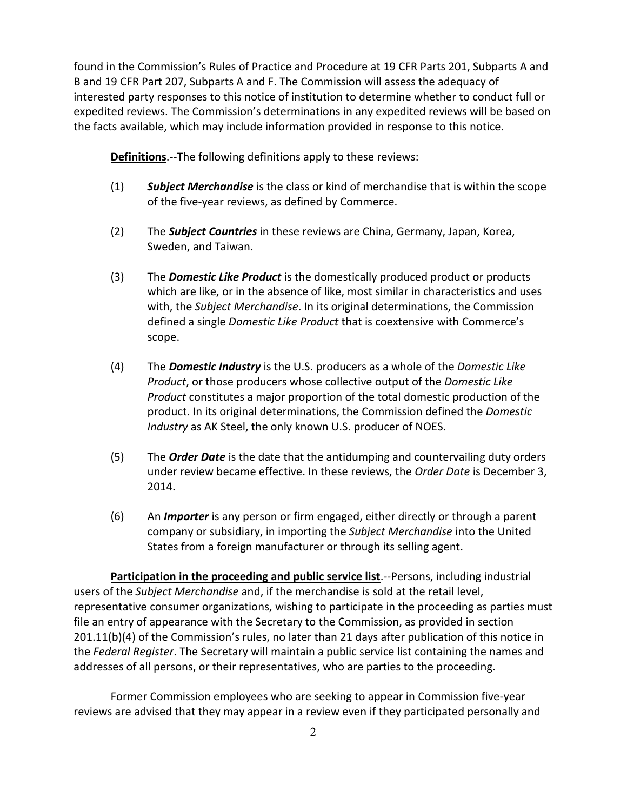found in the Commission's Rules of Practice and Procedure at 19 CFR Parts 201, Subparts A and B and 19 CFR Part 207, Subparts A and F. The Commission will assess the adequacy of interested party responses to this notice of institution to determine whether to conduct full or expedited reviews. The Commission's determinations in any expedited reviews will be based on the facts available, which may include information provided in response to this notice.

**Definitions**.--The following definitions apply to these reviews:

- (1) *Subject Merchandise* is the class or kind of merchandise that is within the scope of the five-year reviews, as defined by Commerce.
- (2) The *Subject Countries* in these reviews are China, Germany, Japan, Korea, Sweden, and Taiwan.
- (3) The *Domestic Like Product* is the domestically produced product or products which are like, or in the absence of like, most similar in characteristics and uses with, the *Subject Merchandise*. In its original determinations, the Commission defined a single *Domestic Like Product* that is coextensive with Commerce's scope.
- (4) The *Domestic Industry* is the U.S. producers as a whole of the *Domestic Like Product*, or those producers whose collective output of the *Domestic Like Product* constitutes a major proportion of the total domestic production of the product. In its original determinations, the Commission defined the *Domestic Industry* as AK Steel, the only known U.S. producer of NOES.
- (5) The *Order Date* is the date that the antidumping and countervailing duty orders under review became effective. In these reviews, the *Order Date* is December 3, 2014.
- (6) An *Importer* is any person or firm engaged, either directly or through a parent company or subsidiary, in importing the *Subject Merchandise* into the United States from a foreign manufacturer or through its selling agent.

**Participation in the proceeding and public service list**.--Persons, including industrial users of the *Subject Merchandise* and, if the merchandise is sold at the retail level, representative consumer organizations, wishing to participate in the proceeding as parties must file an entry of appearance with the Secretary to the Commission, as provided in section 201.11(b)(4) of the Commission's rules, no later than 21 days after publication of this notice in the *Federal Register*. The Secretary will maintain a public service list containing the names and addresses of all persons, or their representatives, who are parties to the proceeding.

Former Commission employees who are seeking to appear in Commission five-year reviews are advised that they may appear in a review even if they participated personally and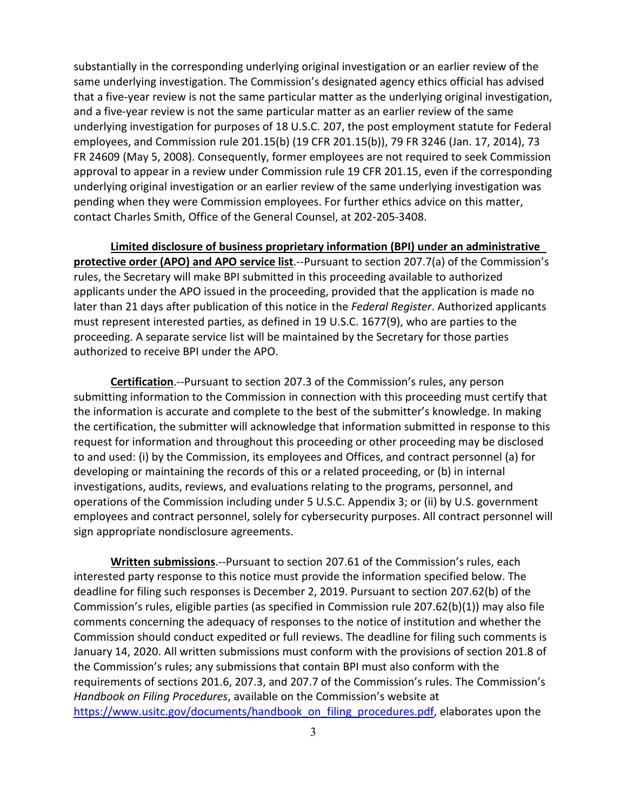substantially in the corresponding underlying original investigation or an earlier review of the same underlying investigation. The Commission's designated agency ethics official has advised that a five-year review is not the same particular matter as the underlying original investigation, and a five-year review is not the same particular matter as an earlier review of the same underlying investigation for purposes of 18 U.S.C. 207, the post employment statute for Federal employees, and Commission rule 201.15(b) (19 CFR 201.15(b)), 79 FR 3246 (Jan. 17, 2014), 73 FR 24609 (May 5, 2008). Consequently, former employees are not required to seek Commission approval to appear in a review under Commission rule 19 CFR 201.15, even if the corresponding underlying original investigation or an earlier review of the same underlying investigation was pending when they were Commission employees. For further ethics advice on this matter, contact Charles Smith, Office of the General Counsel, at 202-205-3408.

**Limited disclosure of business proprietary information (BPI) under an administrative protective order (APO) and APO service list**.--Pursuant to section 207.7(a) of the Commission's rules, the Secretary will make BPI submitted in this proceeding available to authorized applicants under the APO issued in the proceeding, provided that the application is made no later than 21 days after publication of this notice in the *Federal Register*. Authorized applicants must represent interested parties, as defined in 19 U.S.C. 1677(9), who are parties to the proceeding. A separate service list will be maintained by the Secretary for those parties authorized to receive BPI under the APO.

**Certification**.--Pursuant to section 207.3 of the Commission's rules, any person submitting information to the Commission in connection with this proceeding must certify that the information is accurate and complete to the best of the submitter's knowledge. In making the certification, the submitter will acknowledge that information submitted in response to this request for information and throughout this proceeding or other proceeding may be disclosed to and used: (i) by the Commission, its employees and Offices, and contract personnel (a) for developing or maintaining the records of this or a related proceeding, or (b) in internal investigations, audits, reviews, and evaluations relating to the programs, personnel, and operations of the Commission including under 5 U.S.C. Appendix 3; or (ii) by U.S. government employees and contract personnel, solely for cybersecurity purposes. All contract personnel will sign appropriate nondisclosure agreements.

**Written submissions**.--Pursuant to section 207.61 of the Commission's rules, each interested party response to this notice must provide the information specified below. The deadline for filing such responses is December 2, 2019. Pursuant to section 207.62(b) of the Commission's rules, eligible parties (as specified in Commission rule 207.62(b)(1)) may also file comments concerning the adequacy of responses to the notice of institution and whether the Commission should conduct expedited or full reviews. The deadline for filing such comments is January 14, 2020. All written submissions must conform with the provisions of section 201.8 of the Commission's rules; any submissions that contain BPI must also conform with the requirements of sections 201.6, 207.3, and 207.7 of the Commission's rules. The Commission's *Handbook on Filing Procedures*, available on the Commission's website at [https://www.usitc.gov/documents/handbook\\_on\\_filing\\_procedures.pdf,](https://www.usitc.gov/documents/handbook_on_filing_procedures.pdf) elaborates upon the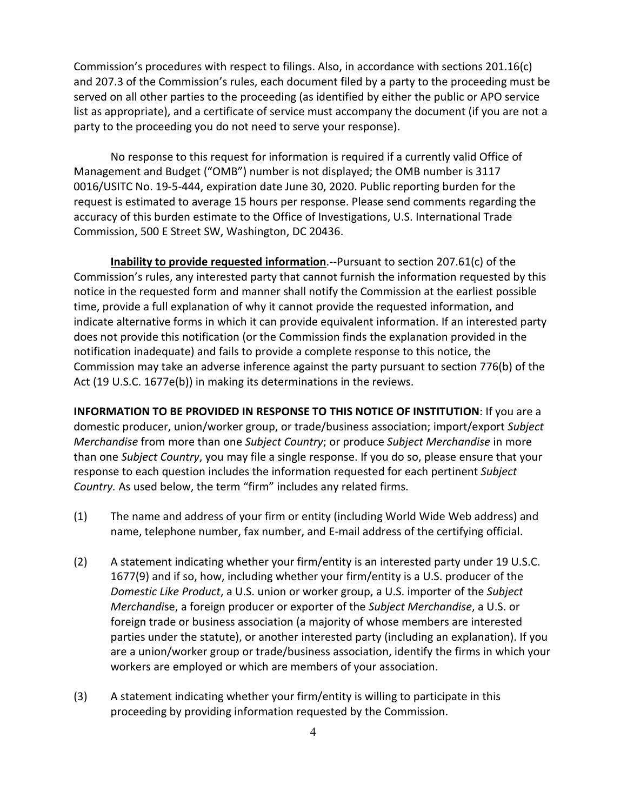Commission's procedures with respect to filings. Also, in accordance with sections 201.16(c) and 207.3 of the Commission's rules, each document filed by a party to the proceeding must be served on all other parties to the proceeding (as identified by either the public or APO service list as appropriate), and a certificate of service must accompany the document (if you are not a party to the proceeding you do not need to serve your response).

No response to this request for information is required if a currently valid Office of Management and Budget ("OMB") number is not displayed; the OMB number is 3117 0016/USITC No. 19-5-444, expiration date June 30, 2020. Public reporting burden for the request is estimated to average 15 hours per response. Please send comments regarding the accuracy of this burden estimate to the Office of Investigations, U.S. International Trade Commission, 500 E Street SW, Washington, DC 20436.

**Inability to provide requested information**.--Pursuant to section 207.61(c) of the Commission's rules, any interested party that cannot furnish the information requested by this notice in the requested form and manner shall notify the Commission at the earliest possible time, provide a full explanation of why it cannot provide the requested information, and indicate alternative forms in which it can provide equivalent information. If an interested party does not provide this notification (or the Commission finds the explanation provided in the notification inadequate) and fails to provide a complete response to this notice, the Commission may take an adverse inference against the party pursuant to section 776(b) of the Act (19 U.S.C. 1677e(b)) in making its determinations in the reviews.

**INFORMATION TO BE PROVIDED IN RESPONSE TO THIS NOTICE OF INSTITUTION**: If you are a domestic producer, union/worker group, or trade/business association; import/export *Subject Merchandise* from more than one *Subject Country*; or produce *Subject Merchandise* in more than one *Subject Country*, you may file a single response. If you do so, please ensure that your response to each question includes the information requested for each pertinent *Subject Country.* As used below, the term "firm" includes any related firms.

- (1) The name and address of your firm or entity (including World Wide Web address) and name, telephone number, fax number, and E-mail address of the certifying official.
- (2) A statement indicating whether your firm/entity is an interested party under 19 U.S.C. 1677(9) and if so, how, including whether your firm/entity is a U.S. producer of the *Domestic Like Product*, a U.S. union or worker group, a U.S. importer of the *Subject Merchandi*se, a foreign producer or exporter of the *Subject Merchandise*, a U.S. or foreign trade or business association (a majority of whose members are interested parties under the statute), or another interested party (including an explanation). If you are a union/worker group or trade/business association, identify the firms in which your workers are employed or which are members of your association.
- (3) A statement indicating whether your firm/entity is willing to participate in this proceeding by providing information requested by the Commission.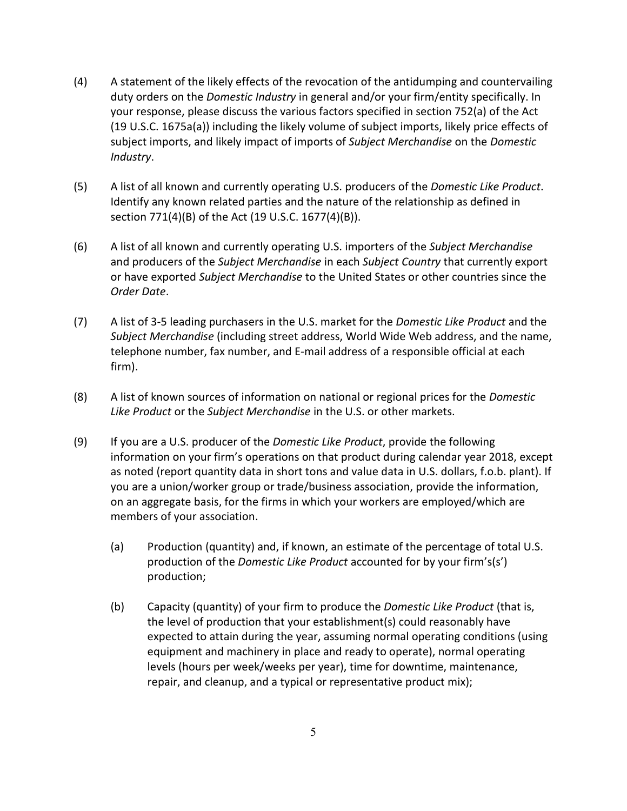- (4) A statement of the likely effects of the revocation of the antidumping and countervailing duty orders on the *Domestic Industry* in general and/or your firm/entity specifically. In your response, please discuss the various factors specified in section 752(a) of the Act (19 U.S.C. 1675a(a)) including the likely volume of subject imports, likely price effects of subject imports, and likely impact of imports of *Subject Merchandise* on the *Domestic Industry*.
- (5) A list of all known and currently operating U.S. producers of the *Domestic Like Product*. Identify any known related parties and the nature of the relationship as defined in section 771(4)(B) of the Act (19 U.S.C. 1677(4)(B)).
- (6) A list of all known and currently operating U.S. importers of the *Subject Merchandise* and producers of the *Subject Merchandise* in each *Subject Country* that currently export or have exported *Subject Merchandise* to the United States or other countries since the *Order Date*.
- (7) A list of 3-5 leading purchasers in the U.S. market for the *Domestic Like Product* and the *Subject Merchandise* (including street address, World Wide Web address, and the name, telephone number, fax number, and E-mail address of a responsible official at each firm).
- (8) A list of known sources of information on national or regional prices for the *Domestic Like Product* or the *Subject Merchandise* in the U.S. or other markets.
- (9) If you are a U.S. producer of the *Domestic Like Product*, provide the following information on your firm's operations on that product during calendar year 2018, except as noted (report quantity data in short tons and value data in U.S. dollars, f.o.b. plant). If you are a union/worker group or trade/business association, provide the information, on an aggregate basis, for the firms in which your workers are employed/which are members of your association.
	- (a) Production (quantity) and, if known, an estimate of the percentage of total U.S. production of the *Domestic Like Product* accounted for by your firm's(s') production;
	- (b) Capacity (quantity) of your firm to produce the *Domestic Like Product* (that is, the level of production that your establishment(s) could reasonably have expected to attain during the year, assuming normal operating conditions (using equipment and machinery in place and ready to operate), normal operating levels (hours per week/weeks per year), time for downtime, maintenance, repair, and cleanup, and a typical or representative product mix);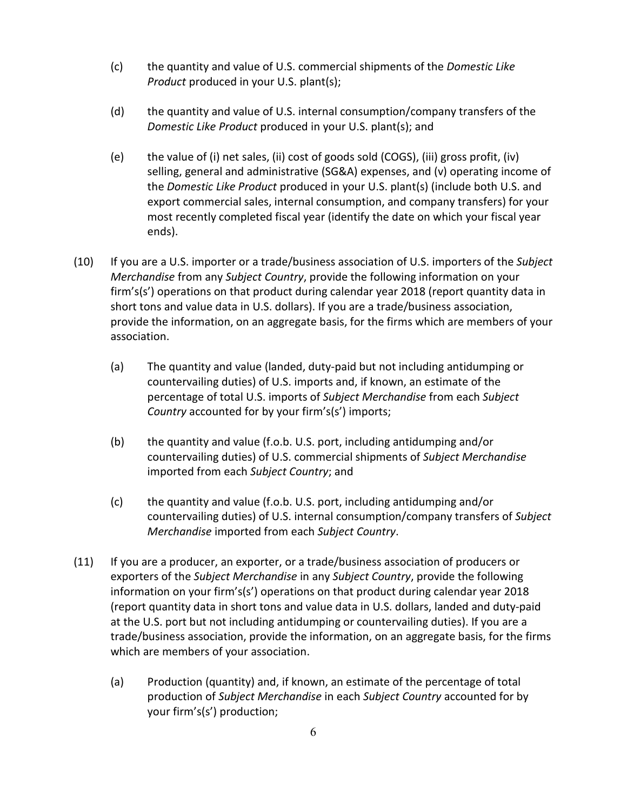- (c) the quantity and value of U.S. commercial shipments of the *Domestic Like Product* produced in your U.S. plant(s);
- (d) the quantity and value of U.S. internal consumption/company transfers of the *Domestic Like Product* produced in your U.S. plant(s); and
- (e) the value of (i) net sales, (ii) cost of goods sold (COGS), (iii) gross profit, (iv) selling, general and administrative (SG&A) expenses, and (v) operating income of the *Domestic Like Product* produced in your U.S. plant(s) (include both U.S. and export commercial sales, internal consumption, and company transfers) for your most recently completed fiscal year (identify the date on which your fiscal year ends).
- (10) If you are a U.S. importer or a trade/business association of U.S. importers of the *Subject Merchandise* from any *Subject Country*, provide the following information on your firm's(s') operations on that product during calendar year 2018 (report quantity data in short tons and value data in U.S. dollars). If you are a trade/business association, provide the information, on an aggregate basis, for the firms which are members of your association.
	- (a) The quantity and value (landed, duty-paid but not including antidumping or countervailing duties) of U.S. imports and, if known, an estimate of the percentage of total U.S. imports of *Subject Merchandise* from each *Subject Country* accounted for by your firm's(s') imports;
	- (b) the quantity and value (f.o.b. U.S. port, including antidumping and/or countervailing duties) of U.S. commercial shipments of *Subject Merchandise* imported from each *Subject Country*; and
	- (c) the quantity and value (f.o.b. U.S. port, including antidumping and/or countervailing duties) of U.S. internal consumption/company transfers of *Subject Merchandise* imported from each *Subject Country*.
- (11) If you are a producer, an exporter, or a trade/business association of producers or exporters of the *Subject Merchandise* in any *Subject Country*, provide the following information on your firm's(s') operations on that product during calendar year 2018 (report quantity data in short tons and value data in U.S. dollars, landed and duty-paid at the U.S. port but not including antidumping or countervailing duties). If you are a trade/business association, provide the information, on an aggregate basis, for the firms which are members of your association.
	- (a) Production (quantity) and, if known, an estimate of the percentage of total production of *Subject Merchandise* in each *Subject Country* accounted for by your firm's(s') production;